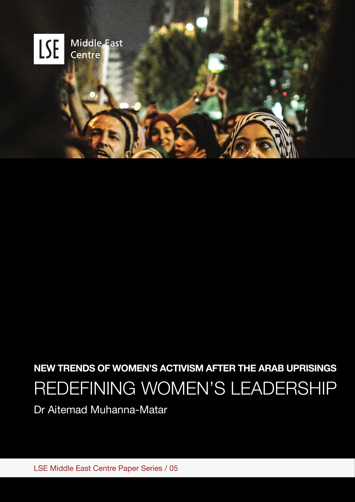

# **NEW TRENDS OF WOMEN'S ACTIVISM AFTER THE ARAB UPRISINGS**  REDEFINING WOMEN'S LEADERSHIP

Dr Aitemad Muhanna-Matar

LSE Middle East Centre Paper Series / 05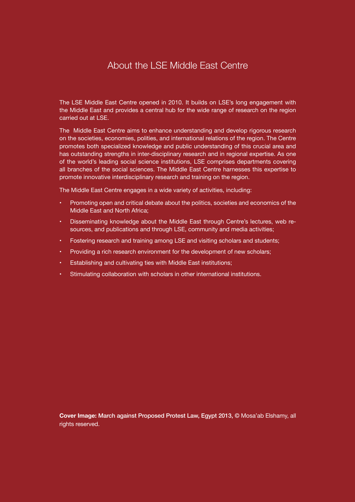# About the LSE Middle East Centre

The LSE Middle East Centre opened in 2010. It builds on LSE's long engagement with the Middle East and provides a central hub for the wide range of research on the region carried out at LSE.

The Middle East Centre aims to enhance understanding and develop rigorous research on the societies, economies, polities, and international relations of the region. The Centre promotes both specialized knowledge and public understanding of this crucial area and has outstanding strengths in inter-disciplinary research and in regional expertise. As one of the world's leading social science institutions, LSE comprises departments covering all branches of the social sciences. The Middle East Centre harnesses this expertise to promote innovative interdisciplinary research and training on the region.

The Middle East Centre engages in a wide variety of activities, including:

- • Promoting open and critical debate about the politics, societies and economics of the Middle East and North Africa;
- Disseminating knowledge about the Middle East through Centre's lectures, web resources, and publications and through LSE, community and media activities;
- Fostering research and training among LSE and visiting scholars and students;
- Providing a rich research environment for the development of new scholars;
- Establishing and cultivating ties with Middle East institutions;
- Stimulating collaboration with scholars in other international institutions.

**Cover Image:** March against Proposed Protest Law, Egypt 2013, © Mosa'ab Elshamy, all rights reserved.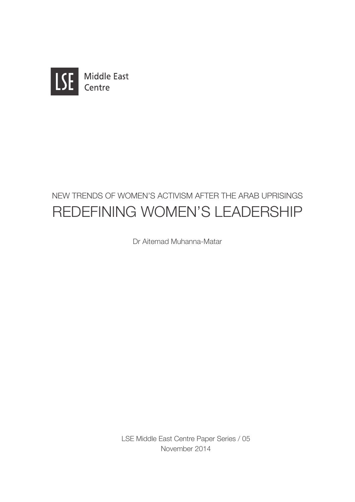

# NEW TRENDS OF WOMEN'S ACTIVISM AFTER THE ARAB UPRISINGS REDEFINING WOMEN'S LEADERSHIP

Dr Aitemad Muhanna-Matar

LSE Middle East Centre Paper Series / 05 November 2014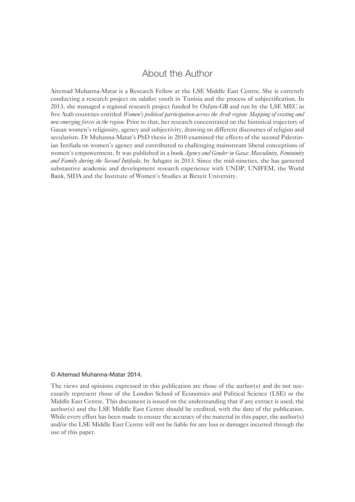### About the Author

Aitemad Muhanna-Matar is a Research Fellow at the LSE Middle East Centre. She is currently conducting a research project on salafist youth in Tunisia and the process of subjectification. In 2013, she managed a regional research project funded by Oxfam-GB and run by the LSE MEC in five Arab countries entitled *Women's political participation across the Arab region: Mapping of existing and new emerging forces in the region.* Prior to that, her research concentrated on the historical trajectory of Gazan women's religiosity, agency and subjectivity, drawing on different discourses of religion and secularism. Dr Muhanna-Matar's PhD thesis in 2010 examined the effects of the second Palestinian Intifada on women's agency and contributed to challenging mainstream liberal conceptions of women's empowerment. It was published in a book *Agency and Gender in Gaza: Masculinity, Femininity and Family during the Second Intifada*, by Ashgate in 2013. Since the mid-nineties, she has garnered substantive academic and development research experience with UNDP, UNIFEM, the World Bank, SIDA and the Institute of Women's Studies at Birzeit University.

#### © Aitemad Muhanna-Matar 2014.

The views and opinions expressed in this publication are those of the author(s) and do not necessarily represent those of the London School of Economics and Political Science (LSE) or the Middle East Centre. This document is issued on the understanding that if any extract is used, the author(s) and the LSE Middle East Centre should be credited, with the date of the publication. While every effort has been made to ensure the accuracy of the material in this paper, the author(s) and/or the LSE Middle East Centre will not be liable for any loss or damages incurred through the use of this paper.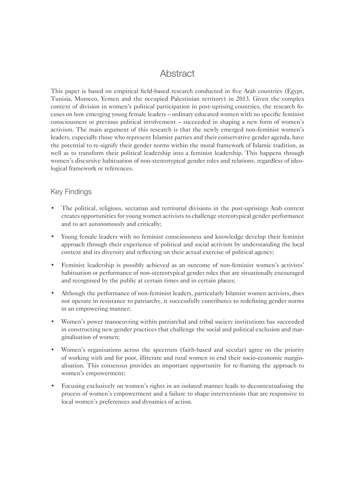## Abstract

This paper is based on empirical field-based research conducted in five Arab countries (Egypt, Tunisia, Morocco, Yemen and the occupied Palestinian territory) in 2013. Given the complex context of division in women's political participation in post-uprising countries, the research focuses on how emerging young female leaders – ordinary educated women with no specific feminist consciousness or previous political involvement – succeeded in shaping a new form of women's activism. The main argument of this research is that the newly emerged non-feminist women's leaders, especially those who represent Islamist parties and their conservative gender agenda, have the potential to re-signify their gender norms within the moral framework of Islamic tradition, as well as to transform their political leadership into a feminist leadership. This happens through women's discursive habituation of non-stereotypical gender roles and relations, regardless of ideological framework or references.

#### Key Findings

- The political, religious, sectarian and territorial divisions in the post-uprisings Arab context creates opportunities for young women activists to challenge stereotypical gender performance and to act autonomously and critically;
- Young female leaders with no feminist consciousness and knowledge develop their feminist approach through their experience of political and social activism by understanding the local context and its diversity and reflecting on their actual exercise of political agency;
- Feminist leadership is possibly achieved as an outcome of non-feminist women's activists' habituation or performance of non-stereotypical gender roles that are situationally encouraged and recognised by the public at certain times and in certain places;
- Although the performance of non-feminist leaders, particularly Islamist women activists, does not operate in resistance to patriarchy, it successfully contributes to redefining gender norms in an empowering manner;
- Women's power manoeuvring within patriarchal and tribal society institutions has succeeded in constructing new gender practices that challenge the social and political exclusion and marginalisation of women;
- Women's organisations across the spectrum (faith-based and secular) agree on the priority of working with and for poor, illiterate and rural women to end their socio-economic marginalisation. This consensus provides an important opportunity for re-framing the approach to women's empowerment;
- Focusing exclusively on women's rights in an isolated manner leads to decontextualising the process of women's empowerment and a failure to shape interventions that are responsive to local women's preferences and dynamics of action.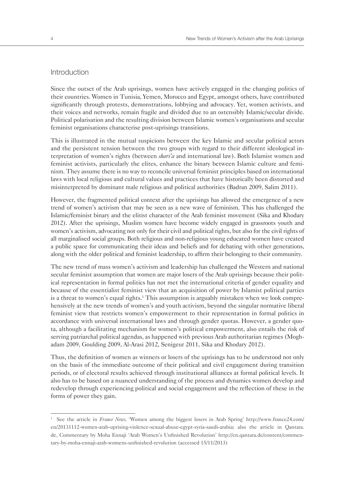#### Introduction

Since the outset of the Arab uprisings, women have actively engaged in the changing politics of their countries. Women in Tunisia, Yemen, Morocco and Egypt, amongst others, have contributed significantly through protests, demonstrations, lobbying and advocacy. Yet, women activists, and their voices and networks, remain fragile and divided due to an ostensibly Islamic/secular divide. Political polarisation and the resulting division between Islamic women's organisations and secular feminist organisations characterise post-uprisings transitions.

This is illustrated in the mutual suspicions between the key Islamic and secular political actors and the persistent tension between the two groups with regard to their different ideological interpretation of women's rights (between *shari'a* and international law). Both Islamist women and feminist activists, particularly the elites, enhance the binary between Islamic culture and feminism. They assume there is no way to reconcile universal feminist principles based on international laws with local religious and cultural values and practices that have historically been distorted and misinterpreted by dominant male religious and political authorities (Badran 2009, Salim 2011).

However, the fragmented political context after the uprisings has allowed the emergence of a new trend of women's activism that may be seen as a new wave of feminism. This has challenged the Islamic/feminist binary and the elitist character of the Arab feminist movement (Sika and Khodary 2012). After the uprisings, Muslim women have become widely engaged in grassroots youth and women's activism, advocating not only for their civil and political rights, but also for the civil rights of all marginalised social groups. Both religious and non-religious young educated women have created a public space for communicating their ideas and beliefs and for debating with other generations, along with the older political and feminist leadership, to affirm their belonging to their community.

The new trend of mass women's activism and leadership has challenged the Western and national secular feminist assumption that women are major losers of the Arab uprisings because their political representation in formal politics has not met the international criteria of gender equality and because of the essentialist feminist view that an acquisition of power by Islamist political parties is a threat to women's equal rights.<sup>1</sup> This assumption is arguably mistaken when we look comprehensively at the new trends of women's and youth activism, beyond the singular normative liberal feminist view that restricts women's empowerment to their representation in formal politics in accordance with universal international laws and through gender quotas. However, a gender quota, although a facilitating mechanism for women's political empowerment, also entails the risk of serving patriarchal political agendas, as happened with previous Arab authoritarian regimes (Moghadam 2009, Goulding 2009, Al-Arasi 2012, Senigeur 2011, Sika and Khodary 2012).

Thus, the definition of women as winners or losers of the uprisings has to be understood not only on the basis of the immediate outcome of their political and civil engagement during transition periods, or of electoral results achieved through institutional alliances at formal political levels. It also has to be based on a nuanced understanding of the process and dynamics women develop and redevelop through experiencing political and social engagement and the reflection of these in the forms of power they gain.

<sup>&</sup>lt;sup>1</sup> See the article in *France News*, 'Women among the biggest losers in Arab Spring' http://www.france24.com/ en/20131112-women-arab-uprising-violence-sexual-abuse-egypt-syria-saudi-arabia; also the article in Qantara. de, Commentary by Moha Ennaji 'Arab Women's Unfinished Revolution' http://en.qantara.de/content/commentary-by-moha-ennaji-arab-womens-unfinished-revolution (accessed 15/11/2013)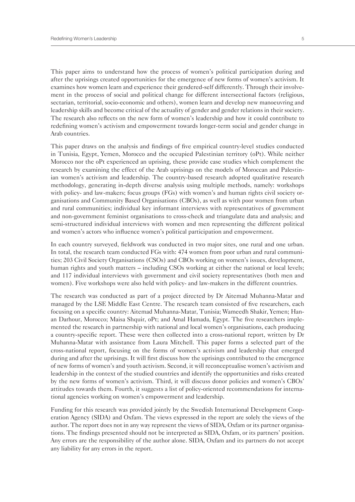This paper aims to understand how the process of women's political participation during and after the uprisings created opportunities for the emergence of new forms of women's activism. It examines how women learn and experience their gendered-self differently. Through their involvement in the process of social and political change for different intersectional factors (religious, sectarian, territorial, socio-economic and others), women learn and develop new manoeuvring and leadership skills and become critical of the actuality of gender and gender relations in their society. The research also reflects on the new form of women's leadership and how it could contribute to redefining women's activism and empowerment towards longer-term social and gender change in Arab countries.

This paper draws on the analysis and findings of five empirical country-level studies conducted in Tunisia, Egypt, Yemen, Morocco and the occupied Palestinian territory (oPt). While neither Morocco nor the oPt experienced an uprising, these provide case studies which complement the research by examining the effect of the Arab uprisings on the models of Moroccan and Palestinian women's activism and leadership. The country-based research adopted qualitative research methodology, generating in-depth diverse analysis using multiple methods, namely: workshops with policy- and law-makers; focus groups (FGs) with women's and human rights civil society organisations and Community Based Organisations (CBOs), as well as with poor women from urban and rural communities; individual key informant interviews with representatives of government and non-government feminist organisations to cross-check and triangulate data and analysis; and semi-structured individual interviews with women and men representing the different political and women's actors who influence women's political participation and empowerment.

In each country surveyed, fieldwork was conducted in two major sites, one rural and one urban. In total, the research team conducted FGs with: 474 women from poor urban and rural communities; 203 Civil Society Organisations (CSOs) and CBOs working on women's issues, development, human rights and youth matters – including CSOs working at either the national or local levels; and 117 individual interviews with government and civil society representatives (both men and women). Five workshops were also held with policy- and law-makers in the different countries.

The research was conducted as part of a project directed by Dr Aitemad Muhanna-Matar and managed by the LSE Middle East Centre. The research team consisted of five researchers, each focusing on a specific country: Aitemad Muhanna-Matar, Tunisia; Wameedh Shakir, Yemen; Hanan Darhour, Morocco; Maisa Shquir, oPt; and Amal Hamada, Egypt. The five researchers implemented the research in partnership with national and local women's organisations, each producing a country-specific report. These were then collected into a cross-national report, written by Dr Muhanna-Matar with assistance from Laura Mitchell. This paper forms a selected part of the cross-national report, focusing on the forms of women's activism and leadership that emerged during and after the uprisings. It will first discuss how the uprisings contributed to the emergence of new forms of women's and youth activism. Second, it will reconceptualise women's activism and leadership in the context of the studied countries and identify the opportunities and risks created by the new forms of women's activism. Third, it will discuss donor policies and women's CBOs' attitudes towards them. Fourth, it suggests a list of policy-oriented recommendations for international agencies working on women's empowerment and leadership.

Funding for this research was provided jointly by the Swedish International Development Cooperation Agency (SIDA) and Oxfam. The views expressed in the report are solely the views of the author. The report does not in any way represent the views of SIDA, Oxfam or its partner organisations. The findings presented should not be interpreted as SIDA, Oxfam, or its partners' position. Any errors are the responsibility of the author alone. SIDA, Oxfam and its partners do not accept any liability for any errors in the report.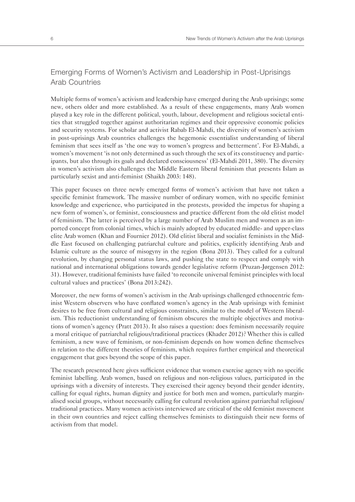#### Emerging Forms of Women's Activism and Leadership in Post-Uprisings Arab Countries

Multiple forms of women's activism and leadership have emerged during the Arab uprisings; some new, others older and more established. As a result of these engagements, many Arab women played a key role in the different political, youth, labour, development and religious societal entities that struggled together against authoritarian regimes and their oppressive economic policies and security systems. For scholar and activist Rabab El-Mahdi, the diversity of women's activism in post-uprisings Arab countries challenges the hegemonic essentialist understanding of liberal feminism that sees itself as 'the one way to women's progress and betterment'. For El-Mahdi, a women's movement 'is not only determined as such through the sex of its constituency and participants, but also through its goals and declared consciousness' (El-Mahdi 2011, 380). The diversity in women's activism also challenges the Middle Eastern liberal feminism that presents Islam as particularly sexist and anti-feminist (Shaikh 2003: 148).

This paper focuses on three newly emerged forms of women's activism that have not taken a specific feminist framework. The massive number of ordinary women, with no specific feminist knowledge and experience, who participated in the protests, provided the impetus for shaping a new form of women's, or feminist, consciousness and practice different from the old elitist model of feminism. The latter is perceived by a large number of Arab Muslim men and women as an imported concept from colonial times, which is mainly adopted by educated middle- and upper-class elite Arab women (Khan and Fournier 2012). Old elitist liberal and socialist feminists in the Middle East focused on challenging patriarchal culture and politics, explicitly identifying Arab and Islamic culture as the source of misogyny in the region (Bona 2013). They called for a cultural revolution, by changing personal status laws, and pushing the state to respect and comply with national and international obligations towards gender legislative reform (Pruzan-Jørgensen 2012: 31). However, traditional feminists have failed 'to reconcile universal feminist principles with local cultural values and practices' (Bona 2013:242).

Moreover, the new forms of women's activism in the Arab uprisings challenged ethnocentric feminist Western observers who have conflated women's agency in the Arab uprisings with feminist desires to be free from cultural and religious constraints, similar to the model of Western liberalism. This reductionist understanding of feminism obscures the multiple objectives and motivations of women's agency (Pratt 2013). It also raises a question: does feminism necessarily require a moral critique of patriarchal religious/traditional practices (Khader 2012)? Whether this is called feminism, a new wave of feminism, or non-feminism depends on how women define themselves in relation to the different theories of feminism, which requires further empirical and theoretical engagement that goes beyond the scope of this paper.

The research presented here gives sufficient evidence that women exercise agency with no specific feminist labelling. Arab women, based on religious and non-religious values, participated in the uprisings with a diversity of interests. They exercised their agency beyond their gender identity, calling for equal rights, human dignity and justice for both men and women, particularly marginalised social groups, without necessarily calling for cultural revolution against patriarchal religious/ traditional practices. Many women activists interviewed are critical of the old feminist movement in their own countries and reject calling themselves feminists to distinguish their new forms of activism from that model.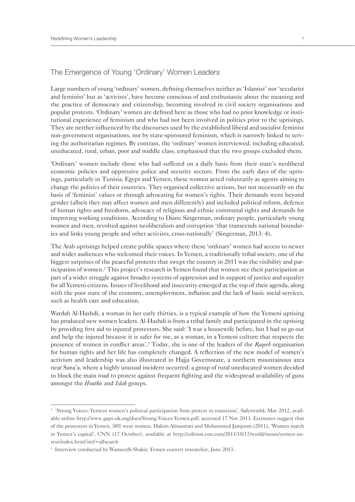#### The Emergence of Young 'Ordinary' Women Leaders

Large numbers of young 'ordinary' women, defining themselves neither as 'Islamist' nor 'secularist and feminist' but as 'activists', have become conscious of and enthusiastic about the meaning and the practice of democracy and citizenship, becoming involved in civil society organisations and popular protests. 'Ordinary' women are defined here as those who had no prior knowledge or institutional experience of feminism and who had not been involved in politics prior to the uprisings. They are neither influenced by the discourses used by the established liberal and socialist feminist non-government organisations, nor by state-sponsored feminism, which is narrowly linked to serving the authoritarian regimes. By contrast, the 'ordinary' women interviewed, including educated, uneducated, rural, urban, poor and middle class, emphasised that the two groups excluded them.

'Ordinary' women include those who had suffered on a daily basis from their state's neoliberal economic policies and oppressive police and security sectors. From the early days of the uprisings, particularly in Tunisia, Egypt and Yemen, these women acted voluntarily as agents aiming to change the politics of their countries. They organised collective actions, but not necessarily on the basis of 'feminist' values or through advocating for women's rights. Their demands went beyond gender (albeit they may affect women and men differently) and included political reform, defence of human rights and freedoms, advocacy of religious and ethnic communal rights and demands for improving working conditions. According to Diane Singerman, ordinary people, particularly young women and men, revolted against neoliberalism and corruption 'that transcends national boundaries and links young people and other activists, cross-nationally' (Singerman, 2013: 4).

The Arab uprisings helped create public spaces where these 'ordinary' women had access to newer and wider audiences who welcomed their voices. In Yemen, a traditionally tribal society, one of the biggest surprises of the peaceful protests that swept the country in 2011 was the visibility and participation of women.<sup>2</sup> This project's research in Yemen found that women see their participation as part of a wider struggle against broader systems of oppression and in support of justice and equality for all Yemeni citizens. Issues of livelihood and insecurity emerged at the top of their agenda, along with the poor state of the economy, unemployment, inflation and the lack of basic social services, such as health care and education.

Wardah Al-Hashdi, a woman in her early thirties, is a typical example of how the Yemeni uprising has produced new women leaders. Al-Hashdi is from a tribal family and participated in the uprising by providing first aid to injured protestors. She said: 'I was a housewife before, but I had to go out and help the injured because it is safer for me, as a woman, in a Yemeni culture that respects the presence of women in conflict areas'.<sup>3</sup> Today, she is one of the leaders of the *Raqeeb* organisation for human rights and her life has completely changed. A reflection of the new model of women's activism and leadership was also illustrated in Hajja Governorate, a northern mountainous area near Sana'a, where a highly unusual incident occurred: a group of rural uneducated women decided to block the main road to protest against frequent fighting and the widespread availability of guns amongst the *Houthis* and *Islah* groups.

<sup>&</sup>lt;sup>2</sup> 'Strong Voices: Yemeni women's political participation from protest to transition', Saferworld, May 2012, available online http://www.gaps-uk.org/docs/Strong-Voices-Yemen.pdf, accessed 17 Nov 2013. Estimates suggest that of the protestors in Yemen, 30% were women. Hakim Almasmari and Mohammed Jamjoom (2011), 'Women march in Yemen's capital', CNN (17 October), available at http://edition.cnn.com/2011/10/17/world/meast/yemen-unrest/index.html?iref=allsearch

<sup>&</sup>lt;sup>3</sup> Interview conducted by Wameedh Shakir, Yemen country researcher, June 2013.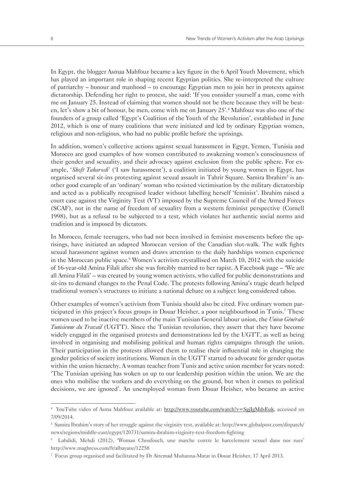In Egypt, the blogger Asmaa Mahfouz became a key figure in the 6 April Youth Movement, which has played an important role in shaping recent Egyptian politics. She re-interpreted the culture of patriarchy – honour and manhood – to encourage Egyptian men to join her in protests against dictatorship. Defending her right to protest, she said: 'If you consider yourself a man, come with me on January 25. Instead of claiming that women should not be there because they will be beaten, let's show a bit of honour, be men, come with me on January 25'.4 Mahfouz was also one of the founders of a group called 'Egypt's Coalition of the Youth of the Revolution', established in June 2012, which is one of many coalitions that were initiated and led by ordinary Egyptian women, religious and non-religious, who had no public profile before the uprisings.

In addition, women's collective actions against sexual harassment in Egypt, Yemen, Tunisia and Morocco are good examples of how women contributed to awakening women's consciousness of their gender and sexuality, and their advocacy against exclusion from the public sphere. For example, '*Shoft Taharosh*' ('I saw harassment'), a coalition initiated by young women in Egypt, has organised several sit-ins protesting against sexual assault in Tahrir Square. Samira Ibrahim<sup>5</sup> is another good example of an 'ordinary' woman who resisted victimisation by the military dictatorship and acted as a publically recognised leader without labelling herself 'feminist'. Ibrahim raised a court case against the Virginity Test (VT) imposed by the Supreme Council of the Armed Forces (SCAF), not in the name of freedom of sexuality from a western feminist perspective (Cornell 1998), but as a refusal to be subjected to a test, which violates her authentic social norms and tradition and is imposed by dictators.

In Morocco, female teenagers, who had not been involved in feminist movements before the uprisings, have initiated an adapted Moroccan version of the Canadian slut-walk. The walk fights sexual harassment against women and draws attention to the daily hardships women experience in the Moroccan public space.<sup>6</sup> Women's activism crystallised on March 10, 2012 with the suicide of 16-year-old Amina Filali after she was forcibly married to her rapist. A Facebook page – 'We are all Amina Filali' – was created by young women activists, who called for public demonstrations and sit-ins to demand changes to the Penal Code. The protests following Amina's tragic death helped traditional women's structures to initiate a national debate on a subject long considered taboo.

Other examples of women's activism from Tunisia should also be cited. Five ordinary women participated in this project's focus groups in Douar Heisher, a poor neighbourhood in Tunis.<sup>7</sup> These women used to be inactive members of the main Tunisian General labour union, the *Union Générale Tunisienne du Travail* (UGTT). Since the Tunisian revolution, they assert that they have become widely engaged in the organised protests and demonstrations led by the UGTT, as well as being involved in organising and mobilising political and human rights campaigns through the union. Their participation in the protests allowed them to realise their influential role in changing the gender politics of society institutions. Women in the UGTT started to advocate for gender quotas within the union hierarchy. A woman teacher from Tunis and active union member for years noted: 'The Tunisian uprising has woken us up to our leadership position within the union. We are the ones who mobilise the workers and do everything on the ground, but when it comes to political decisions, we are ignored'. An unemployed woman from Douar Heisher, who became an active

<sup>&</sup>lt;sup>4</sup> YouTube video of Asma Mahfouz available at: http://www.youtube.com/watch?v=SgjIgMdsEuk, accessed on 7/09/2014.

<sup>5</sup> Samira Ibrahim's story of her struggle against the virginity test, available at: http://www.globalpost.com/dispatch/ news/regions/middle-east/egypt/120731/samira-ibrahim-virginity-test-freedom-fighting

<sup>6</sup> Lahdidi, Mehdi (2012), 'Woman Choufouch, une marche contre le harcelement sexuel dans nos rues' http://www.maghress.com/fr/albayane/12258

<sup>7</sup> Focus group organised and facilitated by Dr Aitemad Muhanna-Matar in Douar Heisher, 17 April 2013.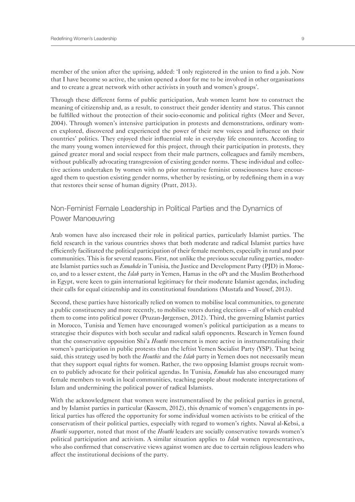member of the union after the uprising, added: 'I only registered in the union to find a job. Now that I have become so active, the union opened a door for me to be involved in other organisations and to create a great network with other activists in youth and women's groups'.

Through these different forms of public participation, Arab women learnt how to construct the meaning of citizenship and, as a result, to construct their gender identity and status. This cannot be fulfilled without the protection of their socio-economic and political rights (Meer and Sever, 2004). Through women's intensive participation in protests and demonstrations, ordinary women explored, discovered and experienced the power of their new voices and influence on their countries' politics. They enjoyed their influential role in everyday life encounters. According to the many young women interviewed for this project, through their participation in protests, they gained greater moral and social respect from their male partners, colleagues and family members, without publically advocating transgression of existing gender norms. These individual and collective actions undertaken by women with no prior normative feminist consciousness have encouraged them to question existing gender norms, whether by resisting, or by redefining them in a way that restores their sense of human dignity (Pratt, 2013).

#### Non-Feminist Female Leadership in Political Parties and the Dynamics of Power Manoeuvring

Arab women have also increased their role in political parties, particularly Islamist parties. The field research in the various countries shows that both moderate and radical Islamist parties have efficiently facilitated the political participation of their female members, especially in rural and poor communities. This is for several reasons. First, not unlike the previous secular ruling parties, moderate Islamist parties such as *Ennahda* in Tunisia, the Justice and Development Party (PJD) in Morocco, and to a lesser extent, the *Islah* party in Yemen, Hamas in the oPt and the Muslim Brotherhood in Egypt, were keen to gain international legitimacy for their moderate Islamist agendas, including their calls for equal citizenship and its constitutional foundations (Mustafa and Yousef, 2013).

Second, these parties have historically relied on women to mobilise local communities, to generate a public constituency and more recently, to mobilise voters during elections – all of which enabled them to come into political power (Pruzan-Jørgensen, 2012). Third, the governing Islamist parties in Morocco, Tunisia and Yemen have encouraged women's political participation as a means to strategise their disputes with both secular and radical salafi opponents. Research in Yemen found that the conservative opposition Shi'a *Houthi* movement is more active in instrumentalising their women's participation in public protests than the leftist Yemen Socialist Party (YSP). That being said, this strategy used by both the *Houthis* and the *Islah* party in Yemen does not necessarily mean that they support equal rights for women. Rather, the two opposing Islamist groups recruit women to publicly advocate for their political agendas. In Tunisia, *Ennahda* has also encouraged many female members to work in local communities, teaching people about moderate interpretations of Islam and undermining the political power of radical Islamists.

With the acknowledgment that women were instrumentalised by the political parties in general, and by Islamist parties in particular (Kassem, 2012), this dynamic of women's engagements in political parties has offered the opportunity for some individual women activists to be critical of the conservatism of their political parties, especially with regard to women's rights. Nawal al-Kebsi, a *Houthi* supporter, noted that most of the *Houthi* leaders are socially conservative towards women's political participation and activism. A similar situation applies to *Islah* women representatives, who also confirmed that conservative views against women are due to certain religious leaders who affect the institutional decisions of the party.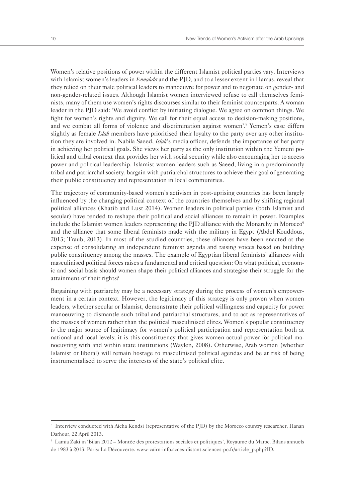Women's relative positions of power within the different Islamist political parties vary. Interviews with Islamist women's leaders in *Ennahda* and the PJD, and to a lesser extent in Hamas, reveal that they relied on their male political leaders to manoeuvre for power and to negotiate on gender- and non-gender-related issues. Although Islamist women interviewed refuse to call themselves feminists, many of them use women's rights discourses similar to their feminist counterparts. A woman leader in the PJD said: 'We avoid conflict by initiating dialogue. We agree on common things. We fight for women's rights and dignity. We call for their equal access to decision-making positions, and we combat all forms of violence and discrimination against women'.<sup>8</sup> Yemen's case differs slightly as female *Islah* members have prioritised their loyalty to the party over any other institution they are involved in. Nabila Saeed, *Islah*'s media officer, defends the importance of her party in achieving her political goals. She views her party as the only institution within the Yemeni political and tribal context that provides her with social security while also encouraging her to access power and political leadership. Islamist women leaders such as Saeed, living in a predominantly tribal and patriarchal society, bargain with patriarchal structures to achieve their goal of generating their public constituency and representation in local communities.

The trajectory of community-based women's activism in post-uprising countries has been largely influenced by the changing political context of the countries themselves and by shifting regional political alliances (Khatib and Lust 2014). Women leaders in political parties (both Islamist and secular) have tended to reshape their political and social alliances to remain in power. Examples include the Islamist women leaders representing the PJD alliance with the Monarchy in Morocco<sup>9</sup> and the alliance that some liberal feminists made with the military in Egypt (Abdel Kouddous, 2013; Traub, 2013). In most of the studied countries, these alliances have been enacted at the expense of consolidating an independent feminist agenda and raising voices based on building public constituency among the masses. The example of Egyptian liberal feminists' alliances with masculinised political forces raises a fundamental and critical question: On what political, economic and social basis should women shape their political alliances and strategise their struggle for the attainment of their rights?

Bargaining with patriarchy may be a necessary strategy during the process of women's empowerment in a certain context. However, the legitimacy of this strategy is only proven when women leaders, whether secular or Islamist, demonstrate their political willingness and capacity for power manoeuvring to dismantle such tribal and patriarchal structures, and to act as representatives of the masses of women rather than the political masculinised elites. Women's popular constituency is the major source of legitimacy for women's political participation and representation both at national and local levels; it is this constituency that gives women actual power for political manoeuvring with and within state institutions (Waylen, 2008). Otherwise, Arab women (whether Islamist or liberal) will remain hostage to masculinised political agendas and be at risk of being instrumentalised to serve the interests of the state's political elite.

<sup>8</sup> Interview conducted with Aicha Kendsi (representative of the PJD) by the Morocco country researcher, Hanan Darhour, 22 April 2013.

<sup>9</sup> Lamia Zaki in 'Bilan 2012 – Montée des protestations sociales et politiques', Royaume du Maroc. Bilans annuels de 1983 à 2013. Paris: La Découverte. www-cairn-info.acces-distant.sciences-po.fr/article\_p.php?ID.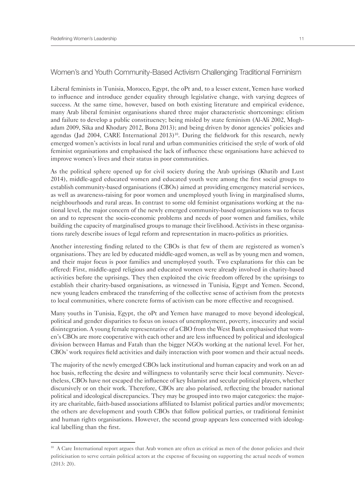#### Women's and Youth Community-Based Activism Challenging Traditional Feminism

Liberal feminists in Tunisia, Morocco, Egypt, the oPt and, to a lesser extent, Yemen have worked to influence and introduce gender equality through legislative change, with varying degrees of success. At the same time, however, based on both existing literature and empirical evidence, many Arab liberal feminist organisations shared three major characteristic shortcomings: elitism and failure to develop a public constituency; being misled by state feminism (Al-Ali 2002, Moghadam 2009, Sika and Khodary 2012, Bona 2013); and being driven by donor agencies' policies and agendas (Jad 2004, CARE International 2013)<sup>10</sup>. During the fieldwork for this research, newly emerged women's activists in local rural and urban communities criticised the style of work of old feminist organisations and emphasised the lack of influence these organisations have achieved to improve women's lives and their status in poor communities.

As the political sphere opened up for civil society during the Arab uprisings (Khatib and Lust 2014), middle-aged educated women and educated youth were among the first social groups to establish community-based organisations (CBOs) aimed at providing emergency material services, as well as awareness-raising for poor women and unemployed youth living in marginalised slums, neighbourhoods and rural areas. In contrast to some old feminist organisations working at the national level, the major concern of the newly emerged community-based organisations was to focus on and to represent the socio-economic problems and needs of poor women and families, while building the capacity of marginalised groups to manage their livelihood. Activists in these organisations rarely describe issues of legal reform and representation in macro-politics as priorities.

Another interesting finding related to the CBOs is that few of them are registered as women's organisations. They are led by educated middle-aged women, as well as by young men and women, and their major focus is poor families and unemployed youth. Two explanations for this can be offered: First, middle-aged religious and educated women were already involved in charity-based activities before the uprisings. They then exploited the civic freedom offered by the uprisings to establish their charity-based organisations, as witnessed in Tunisia, Egypt and Yemen. Second, new young leaders embraced the transferring of the collective sense of activism from the protests to local communities, where concrete forms of activism can be more effective and recognised.

Many youths in Tunisia, Egypt, the oPt and Yemen have managed to move beyond ideological, political and gender disparities to focus on issues of unemployment, poverty, insecurity and social disintegration. A young female representative of a CBO from the West Bank emphasised that women's CBOs are more cooperative with each other and are less influenced by political and ideological division between Hamas and Fatah than the bigger NGOs working at the national level. For her, CBOs' work requires field activities and daily interaction with poor women and their actual needs.

The majority of the newly emerged CBOs lack institutional and human capacity and work on an ad hoc basis, reflecting the desire and willingness to voluntarily serve their local community. Nevertheless, CBOs have not escaped the influence of key Islamist and secular political players, whether discursively or on their work. Therefore, CBOs are also polarised, reflecting the broader national political and ideological discrepancies. They may be grouped into two major categories: the majority are charitable, faith-based associations affiliated to Islamist political parties and/or movements; the others are development and youth CBOs that follow political parties, or traditional feminist and human rights organisations. However, the second group appears less concerned with ideological labelling than the first.

<sup>&</sup>lt;sup>10</sup> A Care International report argues that Arab women are often as critical as men of the donor policies and their politicisation to serve certain political actors at the expense of focusing on supporting the actual needs of women (2013: 20).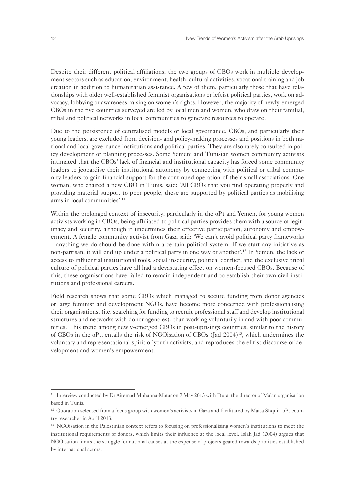Despite their different political affiliations, the two groups of CBOs work in multiple development sectors such as education, environment, health, cultural activities, vocational training and job creation in addition to humanitarian assistance. A few of them, particularly those that have relationships with older well-established feminist organisations or leftist political parties, work on advocacy, lobbying or awareness-raising on women's rights. However, the majority of newly-emerged CBOs in the five countries surveyed are led by local men and women, who draw on their familial, tribal and political networks in local communities to generate resources to operate.

Due to the persistence of centralised models of local governance, CBOs, and particularly their young leaders, are excluded from decision- and policy-making processes and positions in both national and local governance institutions and political parties. They are also rarely consulted in policy development or planning processes. Some Yemeni and Tunisian women community activists intimated that the CBOs' lack of financial and institutional capacity has forced some community leaders to jeopardise their institutional autonomy by connecting with political or tribal community leaders to gain financial support for the continued operation of their small associations. One woman, who chaired a new CBO in Tunis, said: 'All CBOs that you find operating properly and providing material support to poor people, these are supported by political parties as mobilising arms in local communities'.<sup>11</sup>

Within the prolonged context of insecurity, particularly in the oPt and Yemen, for young women activists working in CBOs, being affiliated to political parties provides them with a source of legitimacy and security, although it undermines their effective participation, autonomy and empowerment. A female community activist from Gaza said: 'We can't avoid political party frameworks – anything we do should be done within a certain political system. If we start any initiative as non-partisan, it will end up under a political party in one way or another'.12 In Yemen, the lack of access to influential institutional tools, social insecurity, political conflict, and the exclusive tribal culture of political parties have all had a devastating effect on women-focused CBOs. Because of this, these organisations have failed to remain independent and to establish their own civil institutions and professional careers.

Field research shows that some CBOs which managed to secure funding from donor agencies or large feminist and development NGOs, have become more concerned with professionalising their organisations, (i.e. searching for funding to recruit professional staff and develop institutional structures and networks with donor agencies), than working voluntarily in and with poor communities. This trend among newly-emerged CBOs in post-uprisings countries, similar to the history of CBOs in the oPt, entails the risk of NGOisation of CBOs (Jad 2004)13, which undermines the voluntary and representational spirit of youth activists, and reproduces the elitist discourse of development and women's empowerment.

<sup>11</sup> Interview conducted by Dr Aitemad Muhanna-Matar on 7 May 2013 with Dura, the director of Ma'an organisation based in Tunis.

 $12$  Quotation selected from a focus group with women's activists in Gaza and facilitated by Maisa Shquir, oPt country researcher in April 2013.

<sup>&</sup>lt;sup>13</sup> NGOisation in the Palestinian context refers to focusing on professionalising women's institutions to meet the institutional requirements of donors, which limits their influence at the local level. Islah Jad (2004) argues that NGOisation limits the struggle for national causes at the expense of projects geared towards priorities established by international actors.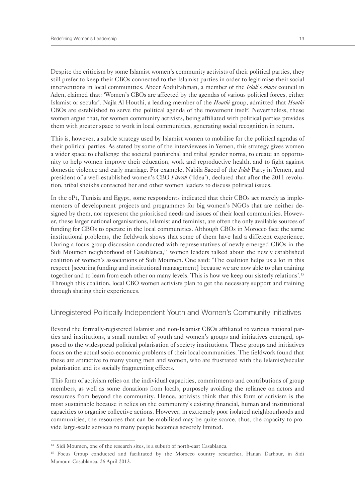Despite the criticism by some Islamist women's community activists of their political parties, they still prefer to keep their CBOs connected to the Islamist parties in order to legitimise their social interventions in local communities. Abeer Abdulrahman, a member of the *Islah*'s *shura* council in Aden, claimed that: 'Women's CBOs are affected by the agendas of various political forces, either Islamist or secular'. Najla Al Houthi, a leading member of the *Houthi* group, admitted that *Houthi* CBOs are established to serve the political agenda of the movement itself. Nevertheless, these women argue that, for women community activists, being affiliated with political parties provides them with greater space to work in local communities, generating social recognition in return.

This is, however, a subtle strategy used by Islamist women to mobilise for the political agendas of their political parties. As stated by some of the interviewees in Yemen, this strategy gives women a wider space to challenge the societal patriarchal and tribal gender norms, to create an opportunity to help women improve their education, work and reproductive health, and to fight against domestic violence and early marriage. For example, Nabila Saeed of the *Islah* Party in Yemen, and president of a well-established women's CBO *Fikrah* ('Idea'), declared that after the 2011 revolution, tribal sheikhs contacted her and other women leaders to discuss political issues.

In the oPt, Tunisia and Egypt, some respondents indicated that their CBOs act merely as implementers of development projects and programmes for big women's NGOs that are neither designed by them, nor represent the prioritised needs and issues of their local communities. However, these larger national organisations, Islamist and feminist, are often the only available sources of funding for CBOs to operate in the local communities. Although CBOs in Morocco face the same institutional problems, the fieldwork shows that some of them have had a different experience. During a focus group discussion conducted with representatives of newly emerged CBOs in the Sidi Moumen neighborhood of Casablanca,<sup>14</sup> women leaders talked about the newly established coalition of women's associations of Sidi Moumen. One said: 'The coalition helps us a lot in this respect [securing funding and institutional management] because we are now able to plan training together and to learn from each other on many levels. This is how we keep our sisterly relations'.15 Through this coalition, local CBO women activists plan to get the necessary support and training through sharing their experiences.

#### Unregistered Politically Independent Youth and Women's Community Initiatives

Beyond the formally-registered Islamist and non-Islamist CBOs affiliated to various national parties and institutions, a small number of youth and women's groups and initiatives emerged, opposed to the widespread political polarisation of society institutions. These groups and initiatives focus on the actual socio-economic problems of their local communities. The fieldwork found that these are attractive to many young men and women, who are frustrated with the Islamist/secular polarisation and its socially fragmenting effects.

This form of activism relies on the individual capacities, commitments and contributions of group members, as well as some donations from locals, purposely avoiding the reliance on actors and resources from beyond the community. Hence, activists think that this form of activism is the most sustainable because it relies on the community's existing financial, human and institutional capacities to organise collective actions. However, in extremely poor isolated neighbourhoods and communities, the resources that can be mobilised may be quite scarce, thus, the capacity to provide large-scale services to many people becomes severely limited.

<sup>&</sup>lt;sup>14</sup> Sidi Moumen, one of the research sites, is a suburb of north-east Casablanca.

<sup>&</sup>lt;sup>15</sup> Focus Group conducted and facilitated by the Morocco country researcher, Hanan Darhour, in Sidi Mamoun-Casablanca, 26 April 2013.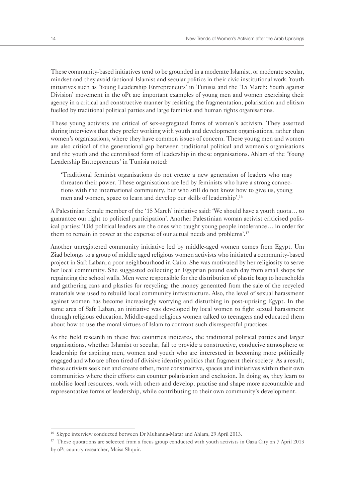These community-based initiatives tend to be grounded in a moderate Islamist, or moderate secular, mindset and they avoid factional Islamist and secular politics in their civic institutional work. Youth initiatives such as 'Young Leadership Entrepreneurs' in Tunisia and the '15 March: Youth against Division' movement in the oPt are important examples of young men and women exercising their agency in a critical and constructive manner by resisting the fragmentation, polarisation and elitism fuelled by traditional political parties and large feminist and human rights organisations.

These young activists are critical of sex-segregated forms of women's activism. They asserted during interviews that they prefer working with youth and development organisations, rather than women's organisations, where they have common issues of concern. These young men and women are also critical of the generational gap between traditional political and women's organisations and the youth and the centralised form of leadership in these organisations. Ahlam of the 'Young Leadership Entrepreneurs' in Tunisia noted:

'Traditional feminist organisations do not create a new generation of leaders who may threaten their power. These organisations are led by feminists who have a strong connections with the international community, but who still do not know how to give us, young men and women, space to learn and develop our skills of leadership'.16

A Palestinian female member of the '15 March' initiative said: 'We should have a youth quota… to guarantee our right to political participation'. Another Palestinian woman activist criticised political parties: 'Old political leaders are the ones who taught young people intolerance… in order for them to remain in power at the expense of our actual needs and problems'.17

Another unregistered community initiative led by middle-aged women comes from Egypt. Um Ziad belongs to a group of middle aged religious women activists who initiated a community-based project in Saft Laban, a poor neighbourhood in Cairo. She was motivated by her religiosity to serve her local community. She suggested collecting an Egyptian pound each day from small shops for repainting the school walls. Men were responsible for the distribution of plastic bags to households and gathering cans and plastics for recycling; the money generated from the sale of the recycled materials was used to rebuild local community infrastructure. Also, the level of sexual harassment against women has become increasingly worrying and disturbing in post-uprising Egypt. In the same area of Saft Laban, an initiative was developed by local women to fight sexual harassment through religious education. Middle-aged religious women talked to teenagers and educated them about how to use the moral virtues of Islam to confront such disrespectful practices.

As the field research in these five countries indicates, the traditional political parties and larger organisations, whether Islamist or secular, fail to provide a constructive, conducive atmosphere or leadership for aspiring men, women and youth who are interested in becoming more politically engaged and who are often tired of divisive identity politics that fragment their society. As a result, these activists seek out and create other, more constructive, spaces and initiatives within their own communities where their efforts can counter polarisation and exclusion. In doing so, they learn to mobilise local resources, work with others and develop, practise and shape more accountable and representative forms of leadership, while contributing to their own community's development.

<sup>&</sup>lt;sup>16</sup> Skype interview conducted between Dr Muhanna-Matar and Ahlam, 29 April 2013.

 $17$  These quotations are selected from a focus group conducted with youth activists in Gaza City on 7 April 2013 by oPt country researcher, Maisa Shquir.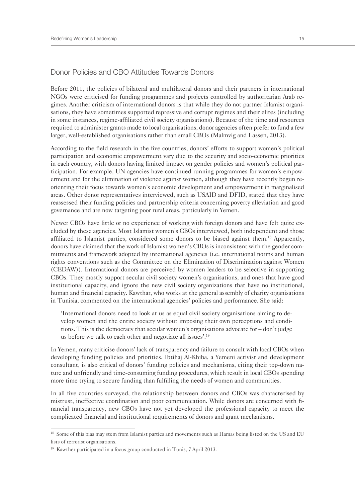#### Donor Policies and CBO Attitudes Towards Donors

Before 2011, the policies of bilateral and multilateral donors and their partners in international NGOs were criticised for funding programmes and projects controlled by authoritarian Arab regimes. Another criticism of international donors is that while they do not partner Islamist organisations, they have sometimes supported repressive and corrupt regimes and their elites (including in some instances, regime-affiliated civil society organisations). Because of the time and resources required to administer grants made to local organisations, donor agencies often prefer to fund a few larger, well-established organisations rather than small CBOs (Malmvig and Lassen, 2013).

According to the field research in the five countries, donors' efforts to support women's political participation and economic empowerment vary due to the security and socio-economic priorities in each country, with donors having limited impact on gender policies and women's political participation. For example, UN agencies have continued running programmes for women's empowerment and for the elimination of violence against women, although they have recently begun reorienting their focus towards women's economic development and empowerment in marginalised areas. Other donor representatives interviewed, such as USAID and DFID, stated that they have reassessed their funding policies and partnership criteria concerning poverty alleviation and good governance and are now targeting poor rural areas, particularly in Yemen.

Newer CBOs have little or no experience of working with foreign donors and have felt quite excluded by these agencies. Most Islamist women's CBOs interviewed, both independent and those affiliated to Islamist parties, considered some donors to be biased against them.18 Apparently, donors have claimed that the work of Islamist women's CBOs is inconsistent with the gender commitments and framework adopted by international agencies (i.e. international norms and human rights conventions such as the Committee on the Elimination of Discrimination against Women (CEDAW)). International donors are perceived by women leaders to be selective in supporting CBOs. They mostly support secular civil society women's organisations, and ones that have good institutional capacity, and ignore the new civil society organizations that have no institutional, human and financial capacity. Kawthar, who works at the general assembly of charity organisations in Tunisia, commented on the international agencies' policies and performance. She said:

'International donors need to look at us as equal civil society organisations aiming to develop women and the entire society without imposing their own perceptions and conditions. This is the democracy that secular women's organisations advocate for – don't judge us before we talk to each other and negotiate all issues'.19

In Yemen, many criticise donors' lack of transparency and failure to consult with local CBOs when developing funding policies and priorities. Ibtihaj Al-Khiba, a Yemeni activist and development consultant, is also critical of donors' funding policies and mechanisms, citing their top-down nature and unfriendly and time-consuming funding procedures, which result in local CBOs spending more time trying to secure funding than fulfilling the needs of women and communities.

In all five countries surveyed, the relationship between donors and CBOs was characterised by mistrust, ineffective coordination and poor communication. While donors are concerned with financial transparency, new CBOs have not yet developed the professional capacity to meet the complicated financial and institutional requirements of donors and grant mechanisms.

<sup>&</sup>lt;sup>18</sup> Some of this bias may stem from Islamist parties and movements such as Hamas being listed on the US and EU lists of terrorist organisations.

<sup>&</sup>lt;sup>19</sup> Kawther participated in a focus group conducted in Tunis, 7 April 2013.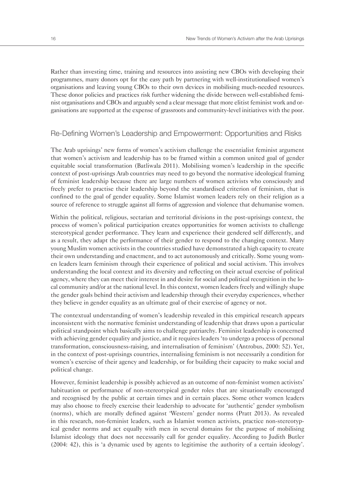Rather than investing time, training and resources into assisting new CBOs with developing their programmes, many donors opt for the easy path by partnering with well-institutionalised women's organisations and leaving young CBOs to their own devices in mobilising much-needed resources. These donor policies and practices risk further widening the divide between well-established feminist organisations and CBOs and arguably send a clear message that more elitist feminist work and organisations are supported at the expense of grassroots and community-level initiatives with the poor.

#### Re-Defining Women's Leadership and Empowerment: Opportunities and Risks

The Arab uprisings' new forms of women's activism challenge the essentialist feminist argument that women's activism and leadership has to be framed within a common united goal of gender equitable social transformation (Batliwala 2011). Mobilising women's leadership in the specific context of post-uprisings Arab countries may need to go beyond the normative ideological framing of feminist leadership because there are large numbers of women activists who consciously and freely prefer to practise their leadership beyond the standardised criterion of feminism, that is confined to the goal of gender equality. Some Islamist women leaders rely on their religion as a source of reference to struggle against all forms of aggression and violence that dehumanise women.

Within the political, religious, sectarian and territorial divisions in the post-uprisings context, the process of women's political participation creates opportunities for women activists to challenge stereotypical gender performance. They learn and experience their gendered self differently, and as a result, they adapt the performance of their gender to respond to the changing context. Many young Muslim women activists in the countries studied have demonstrated a high capacity to create their own understanding and enactment, and to act autonomously and critically. Some young women leaders learn feminism through their experience of political and social activism. This involves understanding the local context and its diversity and reflecting on their actual exercise of political agency, where they can meet their interest in and desire for social and political recognition in the local community and/or at the national level. In this context, women leaders freely and willingly shape the gender goals behind their activism and leadership through their everyday experiences, whether they believe in gender equality as an ultimate goal of their exercise of agency or not.

The contextual understanding of women's leadership revealed in this empirical research appears inconsistent with the normative feminist understanding of leadership that draws upon a particular political standpoint which basically aims to challenge patriarchy. Feminist leadership is concerned with achieving gender equality and justice, and it requires leaders 'to undergo a process of personal transformation, consciousness-raising, and internalisation of feminism' (Antrobus, 2000: 52). Yet, in the context of post-uprisings countries, internalising feminism is not necessarily a condition for women's exercise of their agency and leadership, or for building their capacity to make social and political change.

However, feminist leadership is possibly achieved as an outcome of non-feminist women activists' habituation or performance of non-stereotypical gender roles that are situationally encouraged and recognised by the public at certain times and in certain places. Some other women leaders may also choose to freely exercise their leadership to advocate for 'authentic' gender symbolism (norms), which are morally defined against 'Western' gender norms (Pratt 2013). As revealed in this research, non-feminist leaders, such as Islamist women activists, practice non-stereotypical gender norms and act equally with men in several domains for the purpose of mobilising Islamist ideology that does not necessarily call for gender equality. According to Judith Butler (2004: 42), this is 'a dynamic used by agents to legitimise the authority of a certain ideology'.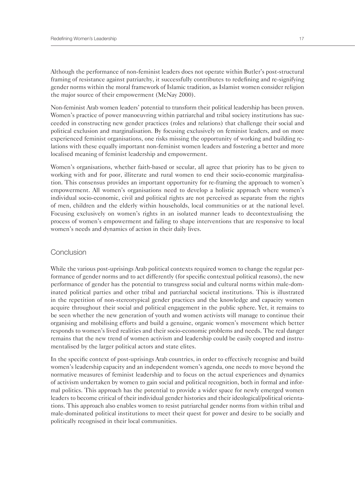Although the performance of non-feminist leaders does not operate within Butler's post-structural framing of resistance against patriarchy, it successfully contributes to redefining and re-signifying gender norms within the moral framework of Islamic tradition, as Islamist women consider religion the major source of their empowerment (McNay 2000).

Non-feminist Arab women leaders' potential to transform their political leadership has been proven. Women's practice of power manoeuvring within patriarchal and tribal society institutions has succeeded in constructing new gender practices (roles and relations) that challenge their social and political exclusion and marginalisation. By focusing exclusively on feminist leaders, and on more experienced feminist organisations, one risks missing the opportunity of working and building relations with these equally important non-feminist women leaders and fostering a better and more localised meaning of feminist leadership and empowerment.

Women's organisations, whether faith-based or secular, all agree that priority has to be given to working with and for poor, illiterate and rural women to end their socio-economic marginalisation. This consensus provides an important opportunity for re-framing the approach to women's empowerment. All women's organisations need to develop a holistic approach where women's individual socio-economic, civil and political rights are not perceived as separate from the rights of men, children and the elderly within households, local communities or at the national level. Focusing exclusively on women's rights in an isolated manner leads to decontextualising the process of women's empowerment and failing to shape interventions that are responsive to local women's needs and dynamics of action in their daily lives.

#### **Conclusion**

While the various post-uprisings Arab political contexts required women to change the regular performance of gender norms and to act differently (for specific contextual political reasons), the new performance of gender has the potential to transgress social and cultural norms within male-dominated political parties and other tribal and patriarchal societal institutions. This is illustrated in the repetition of non-stereotypical gender practices and the knowledge and capacity women acquire throughout their social and political engagement in the public sphere. Yet, it remains to be seen whether the new generation of youth and women activists will manage to continue their organising and mobilising efforts and build a genuine, organic women's movement which better responds to women's lived realities and their socio-economic problems and needs. The real danger remains that the new trend of women activism and leadership could be easily coopted and instrumentalised by the larger political actors and state elites.

In the specific context of post-uprisings Arab countries, in order to effectively recognise and build women's leadership capacity and an independent women's agenda, one needs to move beyond the normative measures of feminist leadership and to focus on the actual experiences and dynamics of activism undertaken by women to gain social and political recognition, both in formal and informal politics. This approach has the potential to provide a wider space for newly emerged women leaders to become critical of their individual gender histories and their ideological/political orientations. This approach also enables women to resist patriarchal gender norms from within tribal and male-dominated political institutions to meet their quest for power and desire to be socially and politically recognised in their local communities.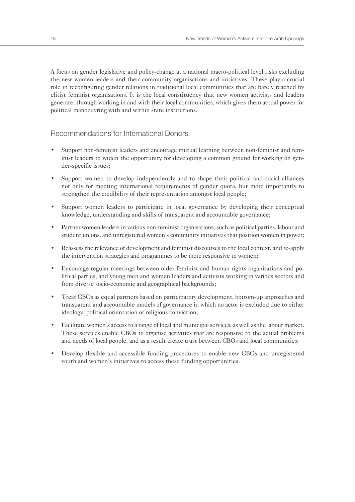A focus on gender legislative and policy-change at a national macro-political level risks excluding the new women leaders and their community organisations and initiatives. These play a crucial role in reconfiguring gender relations in traditional local communities that are barely reached by elitist feminist organisations. It is the local constituency that new women activists and leaders generate, through working in and with their local communities, which gives them actual power for political manoeuvring with and within state institutions.

#### Recommendations for International Donors

- Support non-feminist leaders and encourage mutual learning between non-feminist and feminist leaders to widen the opportunity for developing a common ground for working on gender-specific issues;
- Support women to develop independently and to shape their political and social alliances not only for meeting international requirements of gender quota, but more importantly to strengthen the credibility of their representation amongst local people;
- Support women leaders to participate in local governance by developing their conceptual knowledge, understanding and skills of transparent and accountable governance;
- Partner women leaders in various non-feminist organisations, such as political parties, labour and student unions, and unregistered women's community initiatives that position women in power;
- Reassess the relevance of development and feminist discourses to the local context, and re-apply the intervention strategies and programmes to be more responsive to women;
- Encourage regular meetings between older feminist and human rights organisations and political parties, and young men and women leaders and activists working in various sectors and from diverse socio-economic and geographical backgrounds;
- Treat CBOs as equal partners based on participatory development, bottom-up approaches and transparent and accountable models of governance in which no actor is excluded due to either ideology, political orientation or religious conviction;
- Facilitate women's access to a range of local and municipal services, as well as the labour market. These services enable CBOs to organise activities that are responsive to the actual problems and needs of local people, and as a result create trust between CBOs and local communities;
- Develop flexible and accessible funding procedures to enable new CBOs and unregistered youth and women's initiatives to access these funding opportunities.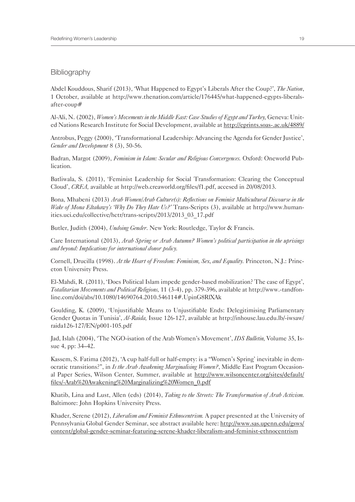#### **Bibliography**

Abdel Kouddous, Sharif (2013), 'What Happened to Egypt's Liberals After the Coup?', *The Nation*, 1 October, available at http://www.thenation.com/article/176445/what-happened-egypts-liberalsafter-coup#

Al-Ali, N. (2002), *Women's Movements in the Middle East: Case Studies of Egypt and Turkey,* Geneva: United Nations Research Institute for Social Development, available at http://eprints.soas-.ac.uk/4889/

Antrobus, Peggy (2000), 'Transformational Leadership: Advancing the Agenda for Gender Justice', *Gender and Development* 8 (3), 50-56.

Badran, Margot (2009), *Feminism in Islam: Secular and Religious Convergences.* Oxford: Oneworld Publication.

Batliwala, S. (2011), 'Feminist Leadership for Social Transformation: Clearing the Conceptual Cloud', *CREA,* available at http://web.creaworld.org/files/f1.pdf, accesed in 20/08/2013.

Bona, Mhabeni (2013) *Arab Women/Arab Culture(s): Reflections on Feminist Multicultural Discourse in the Wake of Mona Eltahawy's 'Why Do They Hate Us?'* Trans-Scripts (3), available at http://www.humanities.uci.edu/collective/hctr/trans-scripts/2013/2013\_03\_17.pdf

Butler, Judith (2004), *Undoing Gender.* New York: Routledge, Taylor & Francis.

Care International (2013), *Arab Spring or Arab Autumn? Women's political participation in the uprisings and beyond: Implications for international donor policy.*

Cornell, Drucilla (1998). *At the Heart of Freedom: Feminism, Sex, and Equality.* Princeton, N.J.: Princeton University Press.

El-Mahdi, R. (2011), 'Does Political Islam impede gender-based mobilization? The case of Egypt', *Totalitarian Movements and Political Religions,* 11 (3-4), pp. 379-396, available at http://www.-tandfonline.com/doi/abs/10.1080/14690764.2010.546114#.UpinG8RlXAk

Goulding, K. (2009), 'Unjustifiable Means to Unjustifiable Ends: Delegitimising Parliamentary Gender Quotas in Tunisia', *Al-Raida,* Issue 126-127, available at http://inhouse.lau.edu.lb/-iwsaw/ raida126-127/EN/p001-105.pdf

Jad, Islah (2004), 'The NGO-isation of the Arab Women's Movement', *IDS Bulletin,* Volume 35, Issue 4, pp: 34–42.

Kassem, S. Fatima (2012), 'A cup half-full or half-empty: is a "Women's Spring' inevitable in democratic transitions?", in *Is the Arab Awakening Marginalising Women?*, Middle East Program Occasional Paper Series, Wilson Center, Summer, available at http://www.wilsoncenter.org/sites/default/ files/-Arab%20Awakening%20Marginalizing%20Women\_0.pdf

Khatib, Lina and Lust, Allen (eds) (2014), *Taking to the Streets: The Transformation of Arab Activism.*  Baltimore: John Hopkins University Press.

Khader, Serene (2012), *Liberalism and Feminist Ethnocentrism.* A paper presented at the University of Pennsylvania Global Gender Seminar, see abstract available here: http://www.sas.upenn.edu/gsws/ content/global-gender-seminar-featuring-serene-khader-liberalism-and-feminist-ethnocentrism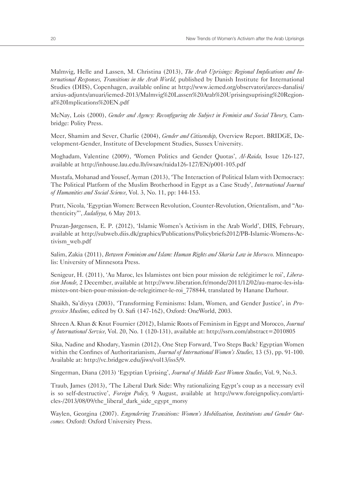Malmvig, Helle and Lassen, M. Christina (2013), *The Arab Uprisings: Regional Implications and International Responses, Transitions in the Arab World,* published by Danish Institute for International Studies (DIIS), Copenhagen, available online at http://www.iemed.org/observatori/arees-danalisi/ arxius-adjunts/anuari/iemed-2013/Malmvig%20Lassen%20Arab%20Uprisingsuprising%20Regional%20Implications%20EN.pdf

McNay, Lois (2000), *Gender and Agency: Reconfiguring the Subject in Feminist and Social Theory,* Cambridge: Polity Press.

Meer, Shamim and Sever, Charlie (2004), *Gender and Citizenship,* Overview Report. BRIDGE, Development-Gender, Institute of Development Studies, Sussex University.

Moghadam, Valentine (2009), 'Women Politics and Gender Quotas', *Al-Raida,* Issue 126-127, available at http://inhouse.lau.edu.lb/iwsaw/raida126-127/EN/p001-105.pdf

Mustafa, Mohanad and Yousef, Ayman (2013), 'The Interaction of Political Islam with Democracy: The Political Platform of the Muslim Brotherhood in Egypt as a Case Study', *International Journal of Humanities and Social Science,* Vol. 3, No. 11, pp: 144-153.

Pratt, Nicola, 'Egyptian Women: Between Revolution, Counter-Revolution, Orientalism, and "Authenticity"', *Jadaliyya,* 6 May 2013.

Pruzan-Jørgensen, E. P. (2012), 'Islamic Women's Activism in the Arab World', DIIS, February, available at http://subweb.diis.dk/graphics/Publications/Policybriefs2012/PB-Islamic-Womens-Activism\_web.pdf

Salim, Zakia (2011), *Between Feminism and Islam: Human Rights and Sharia Law in Morocco.* Minneapolis: University of Minnesota Press.

Senigeur, H. (2011), 'Au Maroc, les Islamistes ont bien pour mission de relégitimer le roi', *Liberation Monde,* 2 December, available at http://www.liberation.fr/monde/2011/12/02/au-maroc-les-islamistes-ont-bien-pour-mission-de-relegitimer-le-roi\_778844, translated by Hanane Darhour.

Shaikh, Sa'diyya (2003), 'Transforming Feminisms: Islam, Women, and Gender Justice', in *Progressive Muslims,* edited by O. Safi (147-162), Oxford: OneWorld, 2003.

Shreen A. Khan & Knut Fournier (2012), Islamic Roots of Feminism in Egypt and Morocco, *Journal of International Service,* Vol. 20, No. 1 (120-131), available at: http://ssrn.com/abstract=2010805

Sika, Nadine and Khodary, Yasmin (2012), One Step Forward, Two Steps Back? Egyptian Women within the Confines of Authoritarianism, *Journal of International Women's Studies,* 13 (5), pp. 91-100. Available at: http://vc.bridgew.edu/jiws/vol13/iss5/9.

Singerman, Diana (2013) 'Egyptian Uprising', *Journal of Middle East Women Studies,* Vol. 9, No.3.

Traub, James (2013), 'The Liberal Dark Side: Why rationalizing Egypt's coup as a necessary evil is so self-destructive', *Foreign Policy,* 9 August, available at http://www.foreignpolicy.com/articles-/2013/08/09/the\_liberal\_dark\_side\_egypt\_morsy

Waylen, Georgina (2007). *Engendering Transitions: Women's Mobilization, Institutions and Gender Outcomes.* Oxford: Oxford University Press.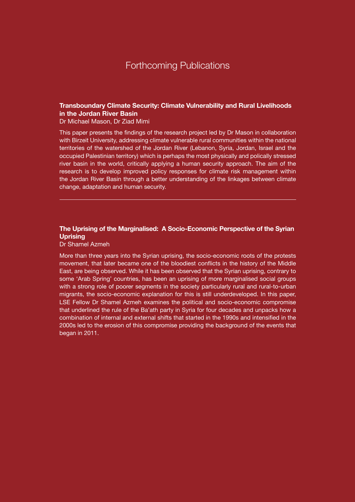#### **Transboundary Climate Security: Climate Vulnerability and Rural Livelihoods in the Jordan River Basin**

Dr Michael Mason, Dr Ziad Mimi

This paper presents the findings of the research project led by Dr Mason in collaboration with Birzeit University, addressing climate vulnerable rural communities within the national territories of the watershed of the Jordan River (Lebanon, Syria, Jordan, Israel and the occupied Palestinian territory) which is perhaps the most physically and polically stressed river basin in the world, critically applying a human security approach. The aim of the research is to develop improved policy responses for climate risk management within the Jordan River Basin through a better understanding of the linkages between climate change, adaptation and human security.

#### **The Uprising of the Marginalised: A Socio-Economic Perspective of the Syrian Uprising**

Dr Shamel Azmeh

More than three years into the Syrian uprising, the socio-economic roots of the protests movement, that later became one of the bloodiest conflicts in the history of the Middle East, are being observed. While it has been observed that the Syrian uprising, contrary to some 'Arab Spring' countries, has been an uprising of more marginalised social groups with a strong role of poorer segments in the society particularly rural and rural-to-urban migrants, the socio-economic explanation for this is still underdeveloped. In this paper, LSE Fellow Dr Shamel Azmeh examines the political and socio-economic compromise that underlined the rule of the Ba'ath party in Syria for four decades and unpacks how a combination of internal and external shifts that started in the 1990s and intensified in the 2000s led to the erosion of this compromise providing the background of the events that began in 2011.